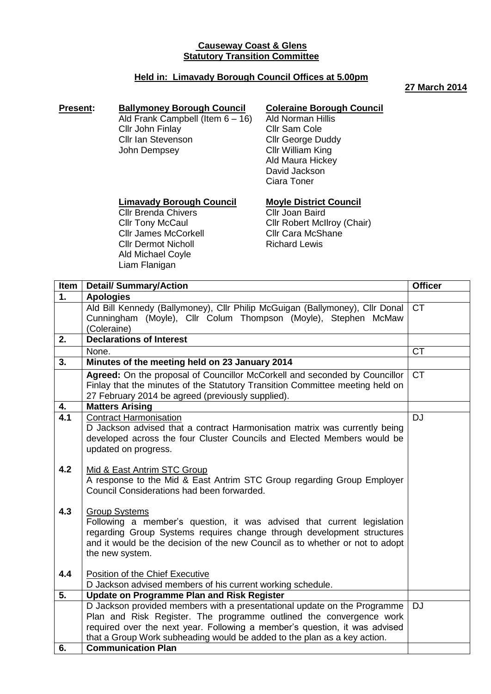### **Causeway Coast & Glens Statutory Transition Committee**

### **Held in: Limavady Borough Council Offices at 5.00pm**

#### **27 March 2014**

#### **Present: Ballymoney Borough Council** Ald Frank Campbell (Item 6 – 16) Cllr John Finlay Cllr Ian Stevenson John Dempsey

# **Coleraine Borough Council**

Ald Norman Hillis Cllr Sam Cole Cllr George Duddy Cllr William King Ald Maura Hickey David Jackson Ciara Toner

# **Limavady Borough Council**

Cllr Brenda Chivers **Cllr Tony McCaul** Cllr James McCorkell Cllr Dermot Nicholl Ald Michael Coyle Liam Flanigan

**Moyle District Council** Cllr Joan Baird Cllr Robert McIlroy (Chair) Cllr Cara McShane Richard Lewis

| Item             | <b>Detail/ Summary/Action</b>                                                                                                                                                                                                                                                                                                          | <b>Officer</b> |
|------------------|----------------------------------------------------------------------------------------------------------------------------------------------------------------------------------------------------------------------------------------------------------------------------------------------------------------------------------------|----------------|
| $\overline{1}$ . | <b>Apologies</b>                                                                                                                                                                                                                                                                                                                       |                |
|                  | Ald Bill Kennedy (Ballymoney), Cllr Philip McGuigan (Ballymoney), Cllr Donal<br>Cunningham (Moyle), Cllr Colum Thompson (Moyle), Stephen McMaw<br>(Coleraine)                                                                                                                                                                          | <b>CT</b>      |
| 2.               | <b>Declarations of Interest</b>                                                                                                                                                                                                                                                                                                        |                |
|                  | None.                                                                                                                                                                                                                                                                                                                                  | <b>CT</b>      |
| 3.               | Minutes of the meeting held on 23 January 2014                                                                                                                                                                                                                                                                                         |                |
|                  | Agreed: On the proposal of Councillor McCorkell and seconded by Councillor<br>Finlay that the minutes of the Statutory Transition Committee meeting held on<br>27 February 2014 be agreed (previously supplied).                                                                                                                       | <b>CT</b>      |
| 4.               | <b>Matters Arising</b>                                                                                                                                                                                                                                                                                                                 |                |
| $\overline{4.1}$ | <b>Contract Harmonisation</b><br>D Jackson advised that a contract Harmonisation matrix was currently being<br>developed across the four Cluster Councils and Elected Members would be<br>updated on progress.                                                                                                                         | <b>DJ</b>      |
| 4.2              | Mid & East Antrim STC Group<br>A response to the Mid & East Antrim STC Group regarding Group Employer<br>Council Considerations had been forwarded.                                                                                                                                                                                    |                |
| 4.3              | <b>Group Systems</b><br>Following a member's question, it was advised that current legislation<br>regarding Group Systems requires change through development structures<br>and it would be the decision of the new Council as to whether or not to adopt<br>the new system.                                                           |                |
| 4.4              | Position of the Chief Executive<br>D Jackson advised members of his current working schedule.                                                                                                                                                                                                                                          |                |
| 5.               | <b>Update on Programme Plan and Risk Register</b>                                                                                                                                                                                                                                                                                      |                |
|                  | D Jackson provided members with a presentational update on the Programme<br>Plan and Risk Register. The programme outlined the convergence work<br>required over the next year. Following a member's question, it was advised<br>that a Group Work subheading would be added to the plan as a key action.<br><b>Communication Plan</b> | <b>DJ</b>      |
| 6.               |                                                                                                                                                                                                                                                                                                                                        |                |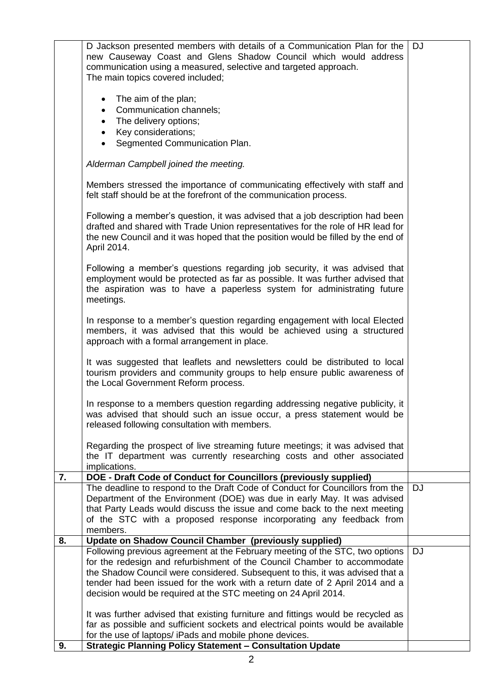|    | D Jackson presented members with details of a Communication Plan for the<br>new Causeway Coast and Glens Shadow Council which would address<br>communication using a measured, selective and targeted approach.<br>The main topics covered included;                                                                       | <b>DJ</b> |
|----|----------------------------------------------------------------------------------------------------------------------------------------------------------------------------------------------------------------------------------------------------------------------------------------------------------------------------|-----------|
|    | • The aim of the plan;<br>Communication channels;<br>$\bullet$<br>The delivery options;<br>$\bullet$<br>Key considerations;<br>$\bullet$<br>• Segmented Communication Plan.                                                                                                                                                |           |
|    | Alderman Campbell joined the meeting.                                                                                                                                                                                                                                                                                      |           |
|    | Members stressed the importance of communicating effectively with staff and<br>felt staff should be at the forefront of the communication process.                                                                                                                                                                         |           |
|    | Following a member's question, it was advised that a job description had been<br>drafted and shared with Trade Union representatives for the role of HR lead for<br>the new Council and it was hoped that the position would be filled by the end of<br>April 2014.                                                        |           |
|    | Following a member's questions regarding job security, it was advised that<br>employment would be protected as far as possible. It was further advised that<br>the aspiration was to have a paperless system for administrating future<br>meetings.                                                                        |           |
|    | In response to a member's question regarding engagement with local Elected<br>members, it was advised that this would be achieved using a structured<br>approach with a formal arrangement in place.                                                                                                                       |           |
|    | It was suggested that leaflets and newsletters could be distributed to local<br>tourism providers and community groups to help ensure public awareness of<br>the Local Government Reform process.                                                                                                                          |           |
|    | In response to a members question regarding addressing negative publicity, it<br>was advised that should such an issue occur, a press statement would be<br>released following consultation with members.                                                                                                                  |           |
|    | Regarding the prospect of live streaming future meetings; it was advised that<br>the IT department was currently researching costs and other associated<br>implications.                                                                                                                                                   |           |
| 7. | DOE - Draft Code of Conduct for Councillors (previously supplied)                                                                                                                                                                                                                                                          |           |
|    | The deadline to respond to the Draft Code of Conduct for Councillors from the<br>Department of the Environment (DOE) was due in early May. It was advised<br>that Party Leads would discuss the issue and come back to the next meeting<br>of the STC with a proposed response incorporating any feedback from<br>members. | <b>DJ</b> |
| 8. | <b>Update on Shadow Council Chamber (previously supplied)</b>                                                                                                                                                                                                                                                              |           |
|    | Following previous agreement at the February meeting of the STC, two options                                                                                                                                                                                                                                               | <b>DJ</b> |
|    | for the redesign and refurbishment of the Council Chamber to accommodate                                                                                                                                                                                                                                                   |           |
|    | the Shadow Council were considered. Subsequent to this, it was advised that a                                                                                                                                                                                                                                              |           |
|    | tender had been issued for the work with a return date of 2 April 2014 and a<br>decision would be required at the STC meeting on 24 April 2014.                                                                                                                                                                            |           |
|    |                                                                                                                                                                                                                                                                                                                            |           |
|    | It was further advised that existing furniture and fittings would be recycled as<br>far as possible and sufficient sockets and electrical points would be available                                                                                                                                                        |           |
|    | for the use of laptops/ iPads and mobile phone devices.                                                                                                                                                                                                                                                                    |           |
| 9. | <b>Strategic Planning Policy Statement - Consultation Update</b>                                                                                                                                                                                                                                                           |           |

2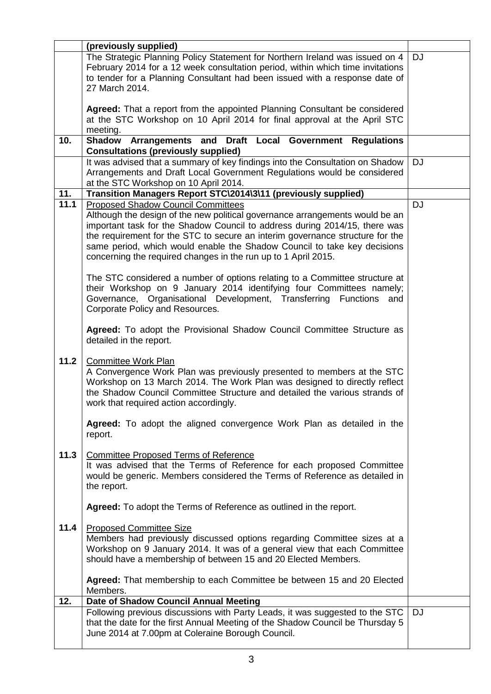|      | (previously supplied)                                                                                                                                                                                                                                                                                                                                                                                                                  |           |
|------|----------------------------------------------------------------------------------------------------------------------------------------------------------------------------------------------------------------------------------------------------------------------------------------------------------------------------------------------------------------------------------------------------------------------------------------|-----------|
|      | The Strategic Planning Policy Statement for Northern Ireland was issued on 4<br>February 2014 for a 12 week consultation period, within which time invitations<br>to tender for a Planning Consultant had been issued with a response date of<br>27 March 2014.                                                                                                                                                                        | <b>DJ</b> |
|      | Agreed: That a report from the appointed Planning Consultant be considered<br>at the STC Workshop on 10 April 2014 for final approval at the April STC<br>meeting.                                                                                                                                                                                                                                                                     |           |
| 10.  | Arrangements and Draft Local Government Regulations<br><b>Shadow</b><br><b>Consultations (previously supplied)</b>                                                                                                                                                                                                                                                                                                                     |           |
|      | It was advised that a summary of key findings into the Consultation on Shadow<br>Arrangements and Draft Local Government Regulations would be considered<br>at the STC Workshop on 10 April 2014.                                                                                                                                                                                                                                      | <b>DJ</b> |
| 11.  | Transition Managers Report STC\2014\3\11 (previously supplied)                                                                                                                                                                                                                                                                                                                                                                         |           |
| 11.1 | <b>Proposed Shadow Council Committees</b><br>Although the design of the new political governance arrangements would be an<br>important task for the Shadow Council to address during 2014/15, there was<br>the requirement for the STC to secure an interim governance structure for the<br>same period, which would enable the Shadow Council to take key decisions<br>concerning the required changes in the run up to 1 April 2015. | <b>DJ</b> |
|      | The STC considered a number of options relating to a Committee structure at<br>their Workshop on 9 January 2014 identifying four Committees namely;<br>Governance, Organisational Development, Transferring Functions and<br>Corporate Policy and Resources.                                                                                                                                                                           |           |
|      | Agreed: To adopt the Provisional Shadow Council Committee Structure as<br>detailed in the report.                                                                                                                                                                                                                                                                                                                                      |           |
| 11.2 | Committee Work Plan<br>A Convergence Work Plan was previously presented to members at the STC<br>Workshop on 13 March 2014. The Work Plan was designed to directly reflect<br>the Shadow Council Committee Structure and detailed the various strands of<br>work that required action accordingly.                                                                                                                                     |           |
|      | Agreed: To adopt the aligned convergence Work Plan as detailed in the<br>report.                                                                                                                                                                                                                                                                                                                                                       |           |
| 11.3 | <b>Committee Proposed Terms of Reference</b><br>It was advised that the Terms of Reference for each proposed Committee<br>would be generic. Members considered the Terms of Reference as detailed in<br>the report.                                                                                                                                                                                                                    |           |
|      | Agreed: To adopt the Terms of Reference as outlined in the report.                                                                                                                                                                                                                                                                                                                                                                     |           |
| 11.4 | <b>Proposed Committee Size</b><br>Members had previously discussed options regarding Committee sizes at a<br>Workshop on 9 January 2014. It was of a general view that each Committee<br>should have a membership of between 15 and 20 Elected Members.                                                                                                                                                                                |           |
|      | Agreed: That membership to each Committee be between 15 and 20 Elected<br>Members.                                                                                                                                                                                                                                                                                                                                                     |           |
| 12.  | Date of Shadow Council Annual Meeting                                                                                                                                                                                                                                                                                                                                                                                                  |           |
|      | Following previous discussions with Party Leads, it was suggested to the STC<br>that the date for the first Annual Meeting of the Shadow Council be Thursday 5<br>June 2014 at 7.00pm at Coleraine Borough Council.                                                                                                                                                                                                                    | <b>DJ</b> |